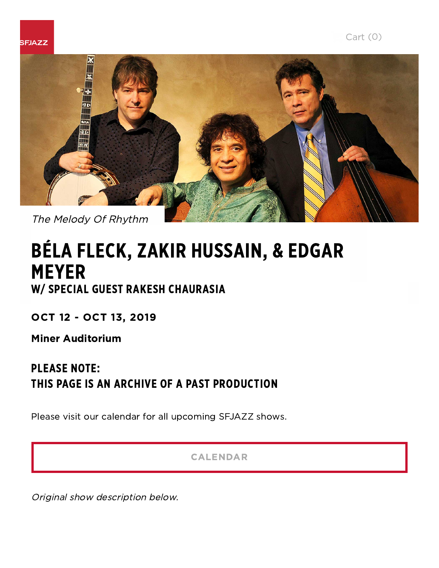



# BÉLA FLECK, ZAKIR HUSSAIN, & EDGAR MEYER W/ SPECIAL GUEST RAKESH CHAURASIA

OCT 12 - OCT 13, 2019

Miner Auditorium

## PLEASE NOTE: THIS PAGE IS AN ARCHIVE OF A PAST PRODUCTION

Please visit our calendar for all upcoming SFJAZZ shows.

[CALENDAR](https://www.sfjazz.org/calendar/)

Original show description below.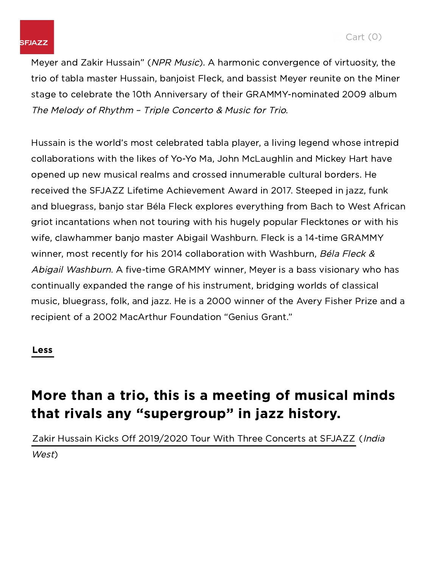Meyer and Zakir Hussain" (NPR Music). A harmonic convergence of virtuosity, the trio of tabla master Hussain, banjoist Fleck, and bassist Meyer reunite on the Miner stage to celebrate the 10th Anniversary of their GRAMMY-nominated 2009 album The Melody of Rhythm – Triple Concerto & Music for Trio.

Hussain is the world's most celebrated tabla player, a living legend whose intrepid collaborations with the likes of Yo-Yo Ma, John McLaughlin and Mickey Hart have opened up new musical realms and crossed innumerable cultural borders. He received the SFJAZZ Lifetime Achievement Award in 2017. Steeped in jazz, funk and bluegrass, banjo star Béla Fleck explores everything from Bach to West African griot incantations when not touring with his hugely popular Flecktones or with his wife, clawhammer banjo master Abigail Washburn. Fleck is a 14-time GRAMMY winner, most recently for his 2014 collaboration with Washburn, Béla Fleck & Abigail Washburn. A five-time GRAMMY winner, Meyer is a bass visionary who has continually expanded the range of his instrument, bridging worlds of classical music, bluegrass, folk, and jazz. He is a 2000 winner of the Avery Fisher Prize and a recipient of a 2002 MacArthur Foundation "Genius Grant."

### Less

# More than a trio, this is a meeting of musical minds that rivals any "supergroup" in jazz history.

Zakir Hussain Kicks Off [2019/2020](https://www.indiawest.com/entertainment/global/indian-american-tabla-maestro-zakir-hussain-kicks-off-tour-with/article_1cf84c12-eac5-11e9-a188-3fcee3341938.html) Tour With Three Concerts at SFJAZZ (India West)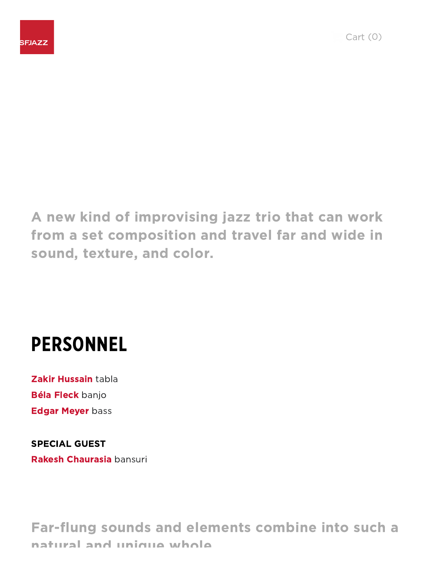A new kind of improvising jazz trio that can work from a set composition and travel far and wide in sound, texture, and color.

# PERSONNEL

Zakir Hussain tabla Béla Fleck banjo **Edgar Meyer bass** 

SPECIAL GUEST Rakesh Chaurasia bansuri

Far-flung sounds and elements combine into such a natural and unique whole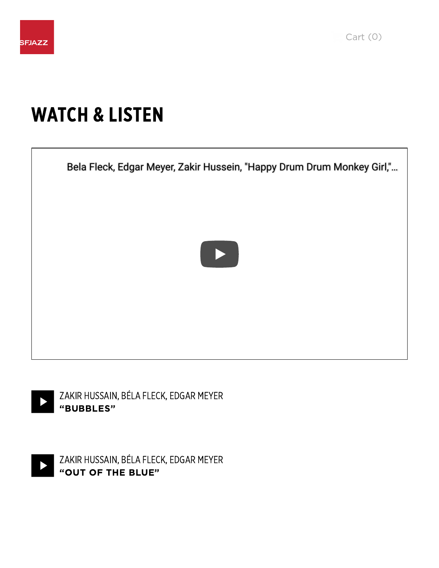

# WATCH & LISTEN

LOS ANGELES TIMES

[nat](https://www.sfjazz.org/)ural and unique whole.







ZAKIR HUSSAIN, BÉLA FLECK, EDGAR MEYER "OUT OF THE BLUE"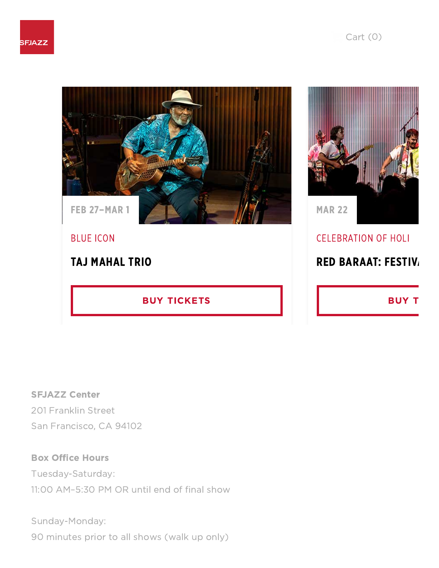



## CELEBRATION OF HOLI

## RED [BARAAT:](https://www.sfjazz.org/tickets/productions/red-baraat-1920/) FESTIV.

[BUY](https://www.sfjazz.org/tickets/productions/red-baraat-1920/) T

SFJAZZ Center 201 Franklin Street San Francisco, CA 94102

### Box Office Hours

Tuesday-Saturday:

11:00 AM–5:30 PM OR until end of final show

[YO](https://www.sfjazz.org/)U MIGHT ALSO ENJOY MARKET

Sunday-Monday:

90 minutes prior to all shows (walk up only)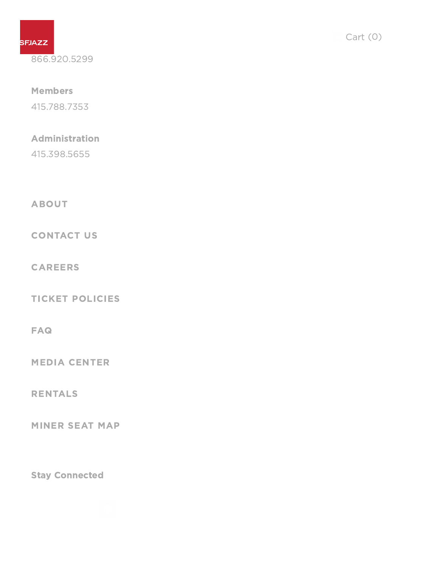

866.920.5299

#### **Members**

415.788.7353

### Administration

415.398.5655

[ABOUT](https://www.sfjazz.org/about/)

[CONTACT](https://www.sfjazz.org/about/contact/) US

[CAREERS](https://www.sfjazz.org/about/careers/)

TICKET [POLICIES](https://www.sfjazz.org/tickets/ticket-policies/)

[FAQ](https://www.sfjazz.org/tickets/faq/)

MEDIA [CENTER](https://www.sfjazz.org/discover/media-center/)

[RENTALS](https://www.sfjazz.org/visit/rentals/)

[MINER](https://www.sfjazz.org/globalassets/homepage/minerauditorumseatingmap2018.png) SEAT MAP

Stay Connected